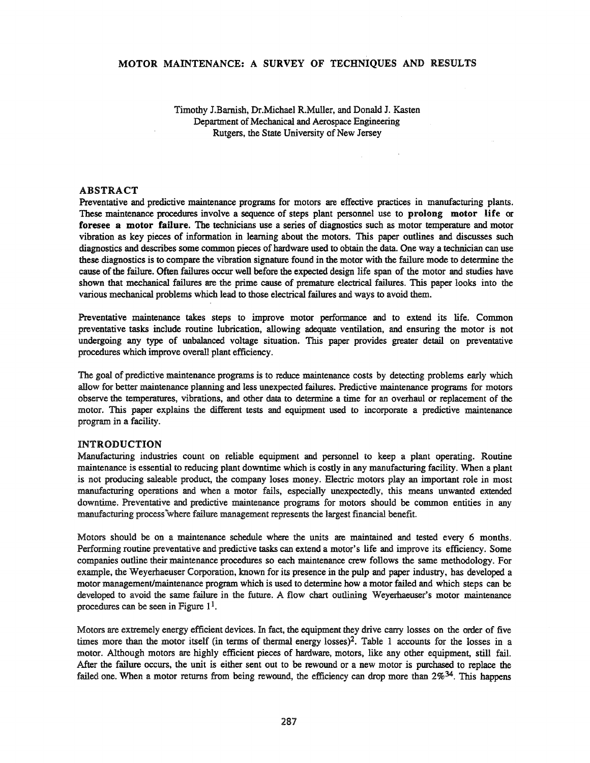# MOTOR MAINTENANCE: A SURVEY OF TECHNIQUES AND RESULTS

Timothy J.Barnish, Dr.Michael R.Muller, and Donald J. Kasten Department of Mechanical and Aerospace Engineering Rutgers, the State University of New Jersey

#### ABSTRACT

Preventative and predictive maintenance programs for motors are effective practices in manufacturing plants. These maintenance procedures involve a sequence of steps plant personnel use to prolong motor life or foresee a motor failure. The technicians use a series of diagnostics such as motor temperature and motor vibration as key pieces of information in learning about the motors. This paper outlines and discusses such diagnostics and describes some common pieces of hardware used to obtain the data. One way a technician can use these diagnostics is to compare the vibration signature found in the motor with the failure mode to determine the cause ofthe failure. Often failures occur well before the expected design life span of the motor and studies have shown that mechanical failures are the prime cause of premature electrical failures. This paper looks into the various mechanical problems which lead to those electrical failures and ways to avoid them.

Preventative maintenance takes steps to improve motor performance and to extend its life. Common preventative tasks include routine lubrication, allowing adequate ventilation, and ensuring the motor is not undergoing any type of unbalanced voltage situation. This paper provides greater detail on preventative procedures which improve overall plant efficiency.

The goal of predictive maintenance programs is to reduce maintenance costs by detecting problems early which allow for better maintenance planning and less unexpected failures. Predictive maintenance programs for motors observe the temperatures, vibrations, and other data to determine a time for an overhaul or replacement of the motor. This paper explains the different tests and equipment used to incorporate a predictive maintenance program in a facility.

#### INTRODUCTION

Manufacturing industries count on reliable equipment and personnel to keep a plant operating. Routine maintenance is essential to reducing plant downtime which is costly in any manufacturing facility. When a plant is not producing saleable product, the company loses money. Electric motors play an important role in most manufacturing operations and when a motor fails, especially unexpectedly, this means unwanted extended downtime. Preventative and predictive maintenance programs for motors should be common entities in any manufacturing process\vhere failure management represents the largest fmancial benefit.

Motors should be on a maintenance schedule where the units are maintained and tested every 6 months. Performing routine preventative and predictive tasks can extend a motor's life and improve its efficiency. Some companies outline their maintenance procedures so each maintenance crew follows the same methodology. For example, the Weyerhaeuser Corporation, known for its presence in the pulp and paper industry, has developed a motor management/maintenance program which is used to determine how a motor failed and which steps can be developed to avoid the same failure in the future. A flow chart outlining Weyerhaeuser's motor maintenance procedures can be seen in Figure  $1<sup>1</sup>$ .

Motors are extremely energy efficient devices. In fact, the equipment they drive carry losses on the order of five times more than the motor itself (in terms of thermal energy losses)<sup>2</sup>. Table 1 accounts for the losses in a motor. Although motors are highly efficient pieces of hardware, motors, like any other equipment, still fail. After the failure occurs, the unit is either sent out to be rewound or a new motor is purchased to replace the failed one. When a motor returns from being rewound, the efficiency can drop more than  $2\%^{34}$ . This happens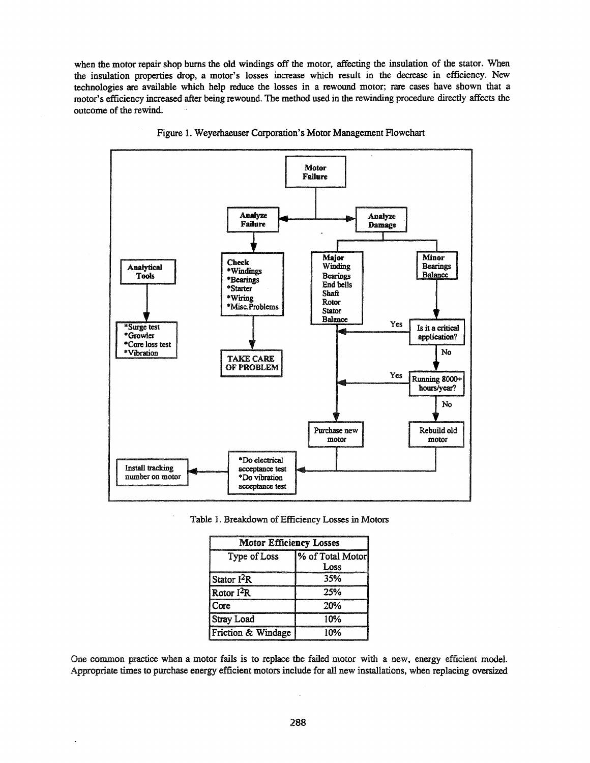when the motor repair shop burns the old windings off the motor, affecting the insulation of the stator. When the insulation properties drop, a motor's losses increase which result in the decrease in efficiency. New technologies are available which help reduce the losses in a rewound motor; rare cases have shown that a motor's efficiency increased after being rewound. The method used in the rewinding procedure directly affects the outcome of the rewind.



Figure 1. Weyerhaeuser Corporation's Motor Management Flowchart

Table 1. Breakdown of Efficiency Losses in Motors

| <b>Motor Efficiency Losses</b> |                   |  |
|--------------------------------|-------------------|--|
| Type of Loss                   | % of Total Motorl |  |
|                                | Loss              |  |
| Stator $I^2R$                  | 35%               |  |
| Rotor $I^2R$                   | 25%               |  |
| Core                           | 20%               |  |
| <b>Stray Load</b>              | 10%               |  |
| Friction & Windage             | 10%               |  |

One common practice when a motor fails is to replace the failed motor with anew, energy efficient model. Appropriate times to purchase energy efficient motors include for all new installations, when replacing oversized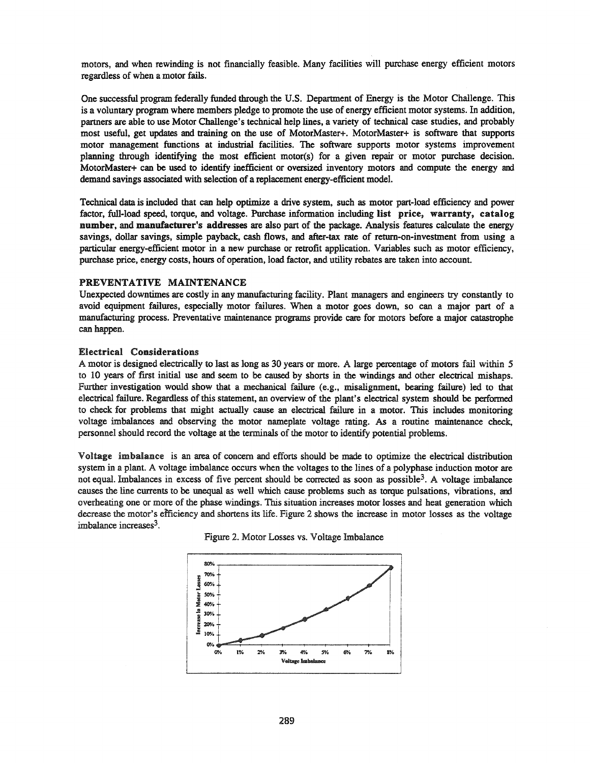motors, and when rewinding is not financially feasible. Many facilities will purchase energy efficient motors regardless of when a motor fails.

One successful program federally funded through the U.S. Department of Energy is the Motor Challenge. This is a voluntary program where members pledge to promote the use of energy efficient motor systems. In addition, partners are able to use Motor Challenge's technical help lines, a variety of technical case studies, and probably most useful, get updates and training on the use of MotorMaster+. MotorMaster+ is software that supports motor management functions at industrial facilities. The software supports motor systems improvement planning through identifying the most efficient motor(s) for a given repair or motor purchase decision. MotorMaster+ can be used to identify inefficient or oversized inventory motors and compute the energy and demand savings associated with selection of a replacement energy-efficient model.

Technical data is included that can help optimize a drive system, such as motor part-load efficiency and power factor, full-load speed, torque, and voltage. Purchase information including list price, warranty, catalog number, and manufacturer's addresses are also part of the package. Analysis features calculate the energy savings, dollar savings, simple payback, cash flows, and after-tax rate of return-on-investment from using a particular energy-efficient motor in a new purchase or retrofit application. Variables such as motor efficiency, purchase price, energy costs, hours of operation, load factor, and utility rebates are taken into account.

#### PREVENTATIVE MAINTENANCE

Unexpected downtimes are costly in any manufacturing facility. Plant managers and engineers try constantly to avoid equipment failures, especially motor failures. When a motor goes down, so can a major part of a manufacturing process. Preventative maintenance programs provide care for motors before a major catastrophe can happen.

## Electrical Considerations

A motor is designed electrically to last as long as 30 years or more. A large percentage of motors fail within 5 to 10 years of first initial use and seem to be caused by shorts in the windings and other electrical mishaps. Further investigation would show that a mechanical failure (e.g., misalignment, bearing failure) led to that electrical failure. Regardless of this statement, an overview of the plant's electrical system should be performed to check for problems that might actually cause an electrical failure in a motor. This includes monitoring voltage imbalances and observing the motor nameplate voltage rating. As a routine maintenance check, personnel should record the voltage at the terminals of the motor to identify potential problems.

Voltage imbalance is an area of concern and efforts should be made to optimize the electrical distribution system in a plant. A voltage imbalance occurs when the voltages to the lines of a polyphase induction motor are not equal. Imbalances in excess of five percent should be corrected as soon as possible<sup>3</sup>. A voltage imbalance causes the line currents to be unequal as well which cause problems such as torque pulsations, vibrations, and overheating one or more of the phase windings. This situation increases motor losses and heat generation which decrease the motor's efficiency and shortens its life. Figure 2 shows the increase in motor losses as the voltage imbalance increases<sup>3</sup>.



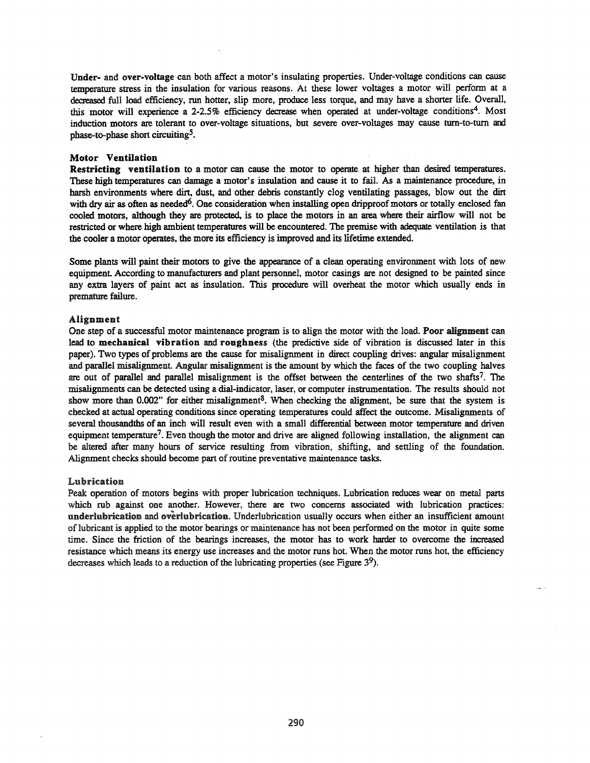Under- and over-voltage can both affect a motor's insulating properties. Under-voltage conditions can cause temperature stress in the insulation for various reasons. At these lower voltages a motor will perform at a decreased full load efficiency, run hotter, slip more, produce less torque, and may have a shorter life. Overall, this motor will experience a 2-2.5% efficiency decrease when operated at under-voltage conditions<sup>4</sup>. Most induction motors are tolerant to over-voltage situations, but severe over-voltages may cause turn-to-turn and phase-to-phase short circuiting5.

## Motor Ventilation

Restricting ventilation to a motor can cause the motor to operate at higher than desired temperatures. These high temperatures can damage a motor's insulation and cause it to fail. As a maintenance procedure, in harsh environments where dirt, dust, and other debris constantly clog ventilating passages, blow out the dirt with dry air as often as needed<sup>6</sup>. One consideration when installing open dripproof motors or totally enclosed fan cooled motors, although they are protected, is to place the motors in an area where their airflow will not be restricted or where high ambient temperatures will be encountered. The premise with adequate ventilation is that the cooler a motor operates, the more its efficiency is improved and its lifetime extended.

Some plants will paint their motors to give the appearance of a clean operating environment with lots of new equipment. According to manufacturers and plant personnel, motor casings are not designed to be painted since any extra layers of paint act as insulation. This procedure will overheat the motor which usually ends in premature failure.

# Alignment

One step of a successful motor maintenance program is to align the motor with the load. Poor alignment can lead to mechanical vibration and roughness (the predictive side of vibration is discussed later in this paper). Two types of problems are the cause for misalignment in direct coupling drives: angular misalignment and parallel misalignment. Angular misalignment is the amount by which the faces of the two coupling halves are out of parallel and parallel misalignment is the offset between the centerlines of the two shafts<sup>7</sup>. The misalignments can be detected using a dial-indicator, laser, or computer instrumentation. The results should not show more than  $0.002$ " for either misalignment<sup>8</sup>. When checking the alignment, be sure that the system is checked at actual operating conditions since operating temperatures could affect the outcome. Misalignments of several thousandths of an inch will result even with a small differential between motor temperature and driven equipment temperature<sup>7</sup>. Even though the motor and drive are aligned following installation, the alignment can be altered after many hours of service resulting from vibration, shifting, and settling of the foundation. Alignment checks should become part of routine preventative maintenance tasks.

#### Lubrication

Peak operation of motors begins with proper lubrication techniques. Lubrication reduces wear on metal parts which rub against one another. However, there are two concerns associated with lubrication practices: underlubrication and overlubrication. Underlubrication usually occurs when either an insufficient amount oflubricant is applied to the motor bearings or maintenance has not been performed on the motor in quite some time. Since the friction of the bearings increases, the motor has to work harder to overcome the increased resistance which means its energy use increases and the motor runs hot. When the motor runs hot, the efficiency decreases which leads to a reduction of the lubricating properties (see Figure  $3<sup>9</sup>$ ).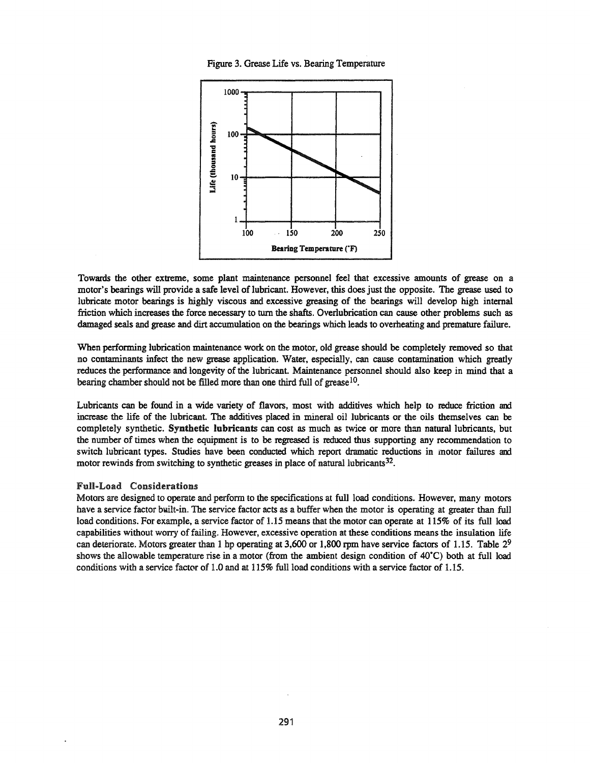



Towards the other extreme, some plant maintenance personnel feel that excessive amounts of grease on a motor's bearings will provide a safe level of lubricant. However, this does just the opposite. The grease used to lubricate motor bearings is highly viscous and excessive greasing of the bearings will develop high internal friction which increases the force necessary to tum the shafts. Overlubrication can cause other problems such as damaged seals and grease and dirt accumulation on the bearings which leads to overheating and premature failure.

When performing lubrication maintenance work on the motor, old grease should be completely removed so that no contaminants infect the new grease application. Water, especially, can cause contamination which greatly reduces the performance and longevity of the lubricant. Maintenance personnel should also keep in mind that a bearing chamber should not be filled more than one third full of grease<sup>10</sup>.

Lubricants can be found in a wide variety of flavors, most with additives which help to reduce friction and increase the life of the lubricant. The additives placed in mineral oil lubricants or the oils themselves can be completely synthetic. Synthetic lubricants can cost as much as twice or more than natural lubricants, but the number of times when the equipment is to be regreased is reduced thus supporting any recommendation to switch lubricant types. Studies have been conducted which report dramatic reductions in motor failures and motor rewinds from switching to synthetic greases in place of natural lubricants<sup>32</sup>.

#### Full-Load Considerations

Motors are designed to operate and perform to the specifications at full load conditions. However, many motors have a service factor built-in. The service factor acts as a buffer when the motor is operating at greater than full load conditions. For example, a service factor of 1.15 means that the motor can operate at 115% of its full load capabilities without worry offailing. However, excessive operation at these conditions means the insulation life can deteriorate. Motors greater than 1 hp operating at 3,600 or 1,800 rpm have service factors of 1.15. Table  $2^9$ shows the allowable temperature rise in a motor (from the ambient design condition of 40°C) both at full load conditions with a service factor of 1.0 and at 115% full load conditions with a service factor of 1.15.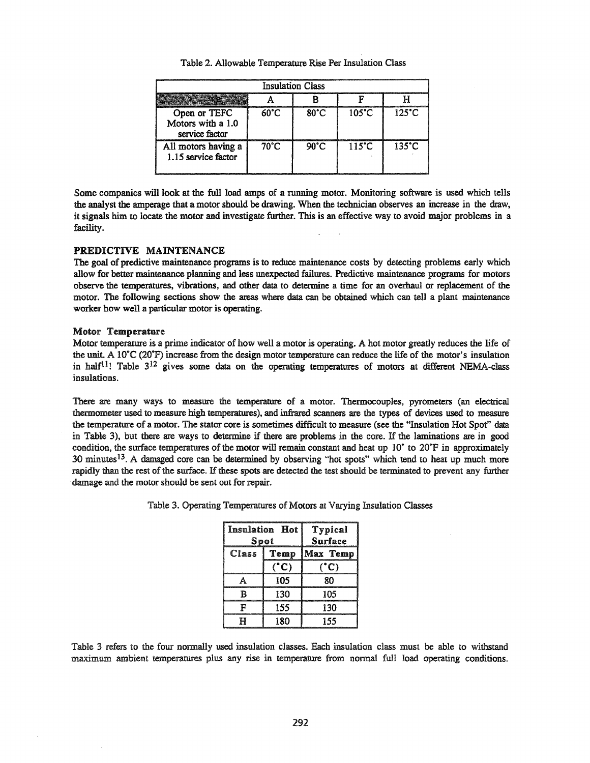| <b>Insulation Class</b>                             |                |                |                 |                 |  |
|-----------------------------------------------------|----------------|----------------|-----------------|-----------------|--|
|                                                     |                |                |                 |                 |  |
| Open or TEFC<br>Motors with a 1.0<br>service factor | $60^{\circ}$ C | $80^{\circ}$ C | $105^{\circ}$ C | $125^{\circ}$ C |  |
| All motors having a<br>1.15 service factor          | 70°C           | $90^{\circ}$ C | $115^{\circ}$ C | $135^{\circ}$ C |  |

Table 2. Allowable Temperature Rise Per Insulation Class

Some companies will look at the full load amps of a running motor. Monitoring software is used which tells the analyst the amperage that a motor should be drawing. When the technician observes an increase in the draw, it signals him to locate the motor and investigate further. This is an effective way to avoid major problems in a facility.

# PREDICTIVE MAINTENANCE

The goal of predictive maintenance programs is to reduce maintenance costs by detecting problems early which allow for better maintenance planning and less unexpected failures. Predictive maintenance programs for motors observe the temperatures, vibrations, and other data to determine a time for an overhaul or replacement of the motor. The following sections show the areas where data can be obtained which can tell a plant maintenance worker how well a particular motor is operating.

#### Motor Temperature

Motor temperature is a prime indicator of how well a motor is operating. A hot motor greatly reduces the life of the unit. A 10<sup> $\degree$ </sup>C (20 $\degree$ F) increase from the design motor temperature can reduce the life of the motor's insulation in half<sup>11</sup>! Table  $3^{12}$  gives some data on the operating temperatures of motors at different NEMA-class insulations.

There are many ways to measure the temperature of a motor. Thermocouples, pyrometers (an electrical thermometer used to measure high temperatures), and infrared scanners are the types of devices used to measure the temperature of a motor. The stator core is sometimes difficult to measure (see the "Insulation Hot Spot" data in Table 3), but there are ways to determine if there are problems in the core. If the laminations are in good condition, the surface temperatures of the motor will remain constant and heat up  $10^{\circ}$  to  $20^{\circ}$ F in approximately 30 minutesl3. A damaged core can be determined by observing "hot spots" which tend to heat up much more rapidly than the rest of the surface. If these spots are detected the test should be terminated to prevent any further damage and the motor should be sent out for repair.

| <b>Insulation Hot</b><br>Spot |              | Typical<br>Surface |  |
|-------------------------------|--------------|--------------------|--|
| Class                         | Temp         | Max Temp           |  |
|                               | $\mathbb{C}$ | $\mathbb{C}$       |  |
|                               | 105          | Ջበ                 |  |
|                               | 130          | 105                |  |
|                               | 155          | 130                |  |
|                               | 180          | 155                |  |

Table 3. Operating Temperatures of Motors at Varying Insulation Classes

Table 3 refers to the four normally used insulation classes. Each insulation class must be able to withstand maximum ambient temperatures plus any rise in temperature from normal full load operating conditions.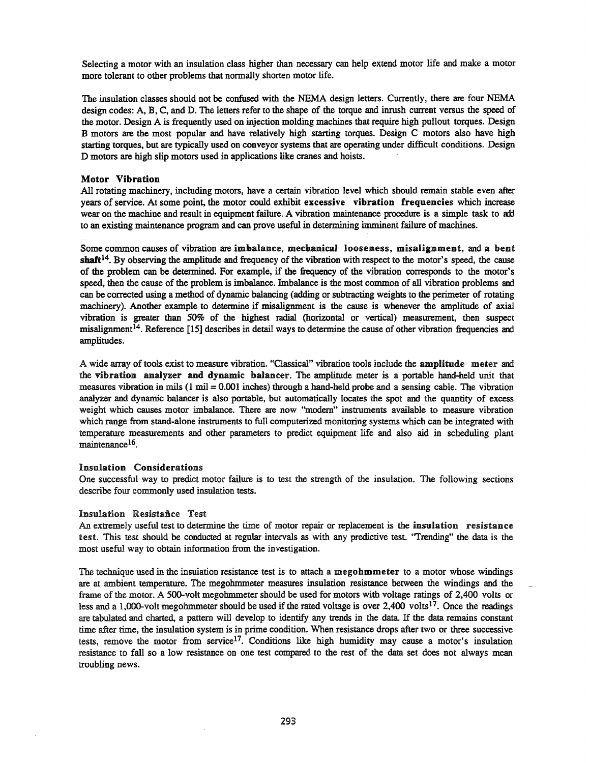Selecting a motor with an insulation class higher than necessary can help extend motor life and make a motor more tolerant to other problems that normally shorten motor life.

The insulation classes should not be confused with the NEMA design letters. Currently, there are four NEMA design codes: A, B, C, and D. The letters refer to the shape of the torque and inrush current versus the speed of the motor. Design A is frequently used on injection molding machines that require high pullout torques. Design B motors are the most popular and have relatively high starting torques. Design C motors also have high starting torques, but are typically used on conveyor systems that are operating under difficult conditions. Design D motors are high slip motors used in applications like cranes and hoists.

#### **Motor Vibration**

All rotating machinery, including motors, have a certain vibration level which should remain stable even after years of service. At some point, the motor could exhibit excessive vibration frequencies which increase wear on the machine and result in equipment failure. A vibration maintenance procedure is a simple task to add to an existing maintenance program and can prove useful in determining imminent failure of machines.

Some common causes of vibration are imbalance, mechanical looseness, misalignment, and a bent shaft<sup>14</sup>. By observing the amplitude and frequency of the vibration with respect to the motor's speed, the cause of the problem can be determined. For example, if the frequency of the vibration corresponds to the motor's speed, then the cause of the problem is imbalance. Imbalance is the most common of all vibration problems and can be corrected using a method of dynamic balancing (adding or subtracting weights to the perimeter of rotating machinery). Another example to determine if misalignment is the cause is whenever the amplitude of axial vibration is greater than 50% of the highest radial (horizontal or vertical) measurement, then suspect misalignment<sup>14</sup>. Reference [15] describes in detail ways to determine the cause of other vibration frequencies and amplitudes.

A wide array oftools exist to measure vibration. "Classical" vibration tools include the amplitude meter and the vibration analyzer and dynamic balancer. The amplitude meter is a portable hand-held unit that measures vibration in mils (l mil = 0.001 inches) through a hand-held probe and a sensing cable. The vibration analyzer and dynamic balancer is also portable, but automatically locates the spot and the quantity of excess weight which causes motor imbalance. There are now "modem" instruments available to measure vibration which range from stand-alone instruments to full computerized monitoring systems which can be integrated with temperature measurements and other parameters to predict equipment life and also aid in scheduling plant maintenance<sup>16</sup>.

#### Insulation Considerations

One successful way to predict motor failure is to test the strength of the insulation. The following sections describe four commonly used insulation tests.

#### Insulation Resistance Test

An extremely useful test to determine the time of motor repair or replacement is the insulation resistance test. This test should be conducted at regular intervals as with any predictive test. "Trending" the data is the most useful way to obtain information from the investigation.

The technique used in the insulation resistance test is to attach a megohmmeter to a motor whose windings are at ambient temperature. The megohmmeter measures insulation resistance between the windings and the frame of the motor. A SOO-volt megohmmeter should be used for motors with voltage ratings of 2,400 volts or less and a 1,000-volt megohmmeter should be used if the rated voltage is over 2,400 volts<sup>17</sup>. Once the readings are tabulated and charted, a pattern will develop to identify any trends in the data If the data remains constant time after time, the insulation system is in prime condition. When resistance drops after two or three successive tests, remove the motor from service<sup>17</sup>. Conditions like high humidity may cause a motor's insulation resistance to fall so a low resistance on one test compared to the rest of the data set does not always mean troubling news.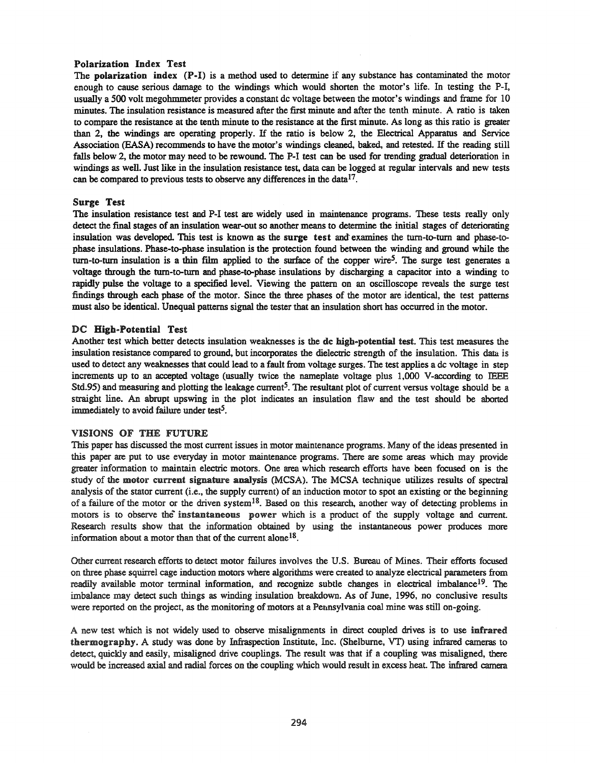# Polarization Index Test

The polarization index (P-I) is a method used to determine if any substance has contaminated the motor enough to cause serious damage to the windings which would shorten the motor's life. In testing the P-I, usually a 500 volt megohmmeter provides a constant dc voltage between the motor's windings and frame for 10 minutes. The insulation resistance is measured after the first minute and after the tenth minute. A ratio is taken to compare the resistance at the tenth minute to the resistance at the first minute. As long as this ratio is greater than 2, the windings are operating properly. If the ratio is below 2, the Electrical Apparatus and Service Association (EASA) recommends to have the motor's windings cleaned, baked, and retested. If the reading still falls below 2, the motor may need to be rewound. The P-I test can be used for trending gradual deterioration in windings as well. Just like in the insulation resistance test, data can be logged at regular intervals and new tests can be compared to previous tests to observe any differences in the datal7.

# Surge Test

The insulation resistance test and P-I test are widely used in maintenance programs. These tests really only detect the final stages of an insulation wear-out so another means to determine the initial stages of deteriorating insulation was developed. This test is known as the surge test and examines the turn-to-turn and phase-tophase insulations. Phase-ta-phase insulation is the protection found between the winding and ground while the turn-to-turn insulation is a thin film applied to the surface of the copper wire<sup>5</sup>. The surge test generates a voltage through the turn-to-turn and phase-to-phase insulations by discharging a capacitor into a winding to rapidly pulse the voltage to a specified level. Viewing the pattern on an oscilloscope reveals the surge test findings through each phase of the motor. Since the three phases of the motor are identical, the test patterns must also be identical. Unequal patterns signal the tester that an insulation short has occurred in the motor.

# DC High-Potential Test

Another test which better detects insulation weaknesses is the dc high-potential test. This test measures the insulation resistance compared to ground, but incorporates the dielectric strength of the insulation. This data is used to detect any weaknesses that could lead to a fault from voltage surges. The test applies a dc voltage in step increments up to an accepted voltage (usually twice the nameplate voltage plus 1,000 V-according to IEEE Std.95) and measuring and plotting the leakage current<sup>5</sup>. The resultant plot of current versus voltage should be a straight line. An abrupt upswing in the plot indicates an insulation flaw and the test should be aborted immediately to avoid failure under test<sup>5</sup>.

#### VISIONS OF THE FUTURE

This paper has discussed the most current issues in motor maintenance programs. Many of the ideas presented in this paper are put to use everyday in motor maintenance programs. There are some areas which may provide greater information to maintain electric motors. One area which research efforts have been focused on is the study of the motor current signature analysis (MCSA). The MCSA technique utilizes results of spectral analysis of the stator current (i.e., the supply current) of an induction motor to spot an existing or the beginning of a failure of the motor or the driven system<sup>18</sup>. Based on this research, another way of detecting problems in motors is to observe the instantaneous power which is a product of the supply voltage and current. Research results show that the information obtained by using the instantaneous power produces more information about a motor than that of the current alone<sup>18</sup>.

Other current research efforts to detect motor failures involves the U.S. Bureau of Mines. Their efforts focused on three phase squirrel cage induction motors where algorithms were created to analyze electrical parameters from readily available motor terminal information, and recognize subtle changes in electrical imbalance<sup>19</sup>. The imbalance may detect such things as winding insulation breakdown. As of June, 1996, no conclusive results were reported on the project, as the monitoring of motors at a Pennsylvania coal mine was still on-going.

A new test which is not widely used to observe misalignments in direct coupled drives is to use infrared thermography. A study was done by Infraspection Institute, Inc. (Shelburne, VT) using infrared cameras to detect, quickly and easily, misaligned drive couplings. The result was that if a coupling was misaligned, there would be increased axial and radial forces on the coupling which would result in excess heat. The infrared camera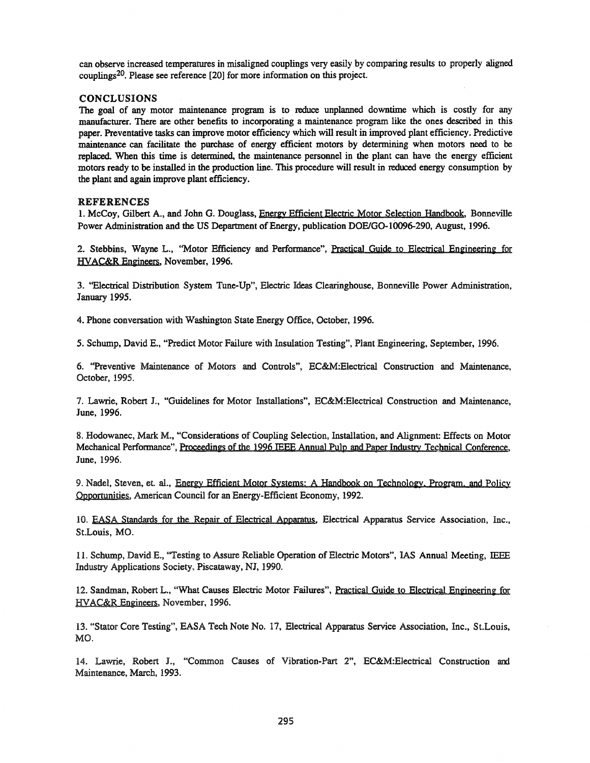can observe increased temperatures in misaligned couplings very easily by comparing results to properly aligned couplings20. Please see reference [20] for more information on this project.

# CONCLUSIONS

The goal of any motor maintenance program is to reduce unplanned downtime which is costly for any manufacturer. There are other benefits to incorporating a maintenance program like the ones described in this paper. Preventative tasks can improve motor efficiency which will result in improved plant efficiency. Predictive maintenance can facilitate the purchase of energy efficient motors by determining when motors need to be replaced. When this time is determined, the maintenance personnel in the plant can have the energy efficient motors ready to be installed in the production line. This procedure will result in reduced energy consumption by the plant and again improve plant efficiency.

# REFERENCES

1. McCoy, Gilbert A., and John G. Douglass, Energy Efficient Electric Motor Selection Handbook, Bonneville Power Administration and the US Department of Energy, publication DOE/GO-10096-290, August, 1996.

2. Stebbins, Wayne L., "Motor Efficiency and Performance", Practical Guide to Electrical Engineering for HVAC&R Engineers, November, 1996.

3. ''Electrical Distribution System Tune-Up", Electric Ideas Clearinghouse, Bonneville Power Administration, January 1995.

4. Phone conversation with Washington State Energy Office, October, 1996.

5. Schump, David E., "Predict Motor Failure with Insulation Testing", Plant Engineering, September, 1996.

6. "Preventive Maintenance of Motors and Controls", EC&M:Electrical Construction and Maintenance, October, 1995.

7. Lawrie, Robert J., "Guidelines for Motor Installations", EC&M:Electrical Construction and Maintenance, June, 1996.

8. Hodowanec, Mark M., "Considerations of Coupling Selection, Installation, and Alignment: Effects on Motor Mechanical Performance", Proceedings of the 1996 IEEE Annual Pulp and Paper Industry Technical Conference, June, 1996.

9. Nadel, Steven, et. al., Energy Efficient Motor Systems: A Handbook on Technology. Program. and Policy Opportunities, American Council for an Energy-Efficient Economy, 1992.

10. EASA Standards for the Repair of Electrical Apparatus. Electrical Apparatus Service Association, Inc., St.Louis, MO.

11. Schump, David E., ''Testing to Assure Reliable Operation of Electric Motors", lAS Annual Meeting, IEEE Industry Applications Society, Piscataway, NJ, 1990.

12. Sandman, Robert L., "What Causes Electric Motor Failures", Practical Guide to Electrical Engineering for HYAC&R Engineers, November, 1996.

13. "Stator Core Testing", EASA Tech Note No. 17, Electrical Apparatus Service Association, Inc., St.Louis, MO.

14. Lawrie, Robert J., "Common Causes of Vibration-Part 2", EC&M:Electrical Construction am Maintenance, March, 1993.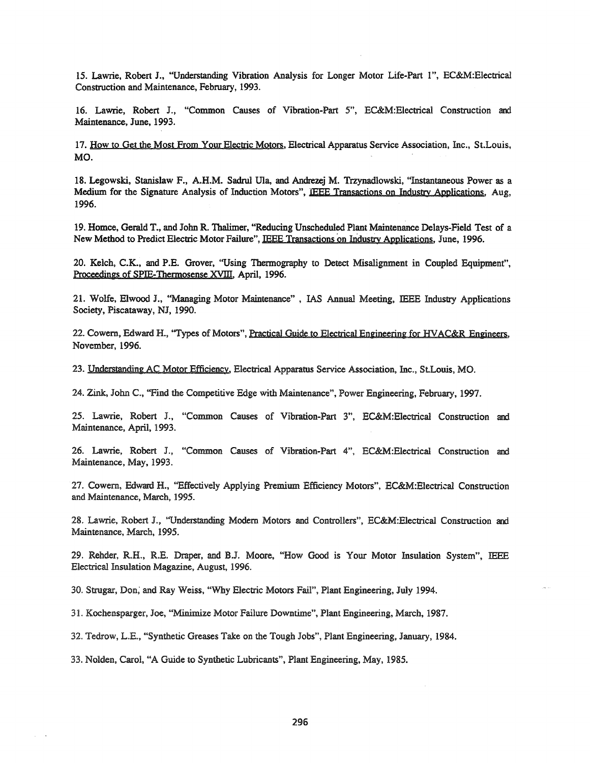15. Lawrie, Robert J., "Understanding Vibration Analysis for Longer Motor Life-Part I", EC&M:Electrical Construction and Maintenance, February, 1993.

16. Lawrie, Robert J., "Common Causes of Vibration-Part 5", EC&M:Electrical Construction and Maintenance, June, 1993.

17. How to Get the Most From Your Electric Motors, Electrical Apparatus Service Association, Inc., St.Louis, MO.

18. Legowski, Stanislaw F., A.H.M. Sadrul Ula, and Andrezej M. Trzynadlowski, "Instantaneous Power as a Medium for the Signature Analysis of Induction Motors", IEEE Transactions on Industry Applications, Aug, 1996.

19. Homce, Gerald T., and John R. Thalimer, "Reducing Unscheduled Plant Maintenance Delays-Field Test of a New Method to Predict Electric Motor Failure", IEEE Transactions on Industry Applications, June, 1996.

20. Kelch, C.K., and P.E. Grover, "Using Thermography to Detect Misalignment in Coupled Equipment", Proceedings of SPIE-Thermosense XVIII, April, 1996.

21. Wolfe, Elwood J., "Managing Motor Maintenance" , lAS Annual Meeting, IEEE Industry Applications Society, Piscataway, NJ, 1990.

22. Cowem, Edward H., "Types of Motors", Practical Guide to Electrical Engineering for HVAC&R Engineers, November, 1996.

23. Understanding AC Motor Efficiency, Electrical Apparatus Service Association, Inc., StLouis, MO.

24. Zink, John c., "Find the Competitive Edge with Maintenance", Power Engineering, February, 1997.

25. Lawrie, Robert J., "Common Causes of Vibration-Part 3", EC&M:Electrical Construction and Maintenance, April, 1993.

26. Lawrie, Robert J., "Common Causes of Vibration-Part 4", EC&M:Electrical Construction and Maintenance, May, 1993.

27. Cowem, Edward H., "Effectively Applying Premium Efficiency Motors", EC&M:Electrical Construction and Maintenance, March, 1995.

28. Lawrie, Robert J., "Understanding Modem Motors and Controllers", EC&M:Electrical Construction and Maintenance, March, 1995.

29. Rehder, R.H., R.E. Draper, and B.J. Moore, "How Good is Your Motor Insulation System", IEEE Electrical Insulation Magazine, August, 1996.

30. Strugar, Don; and Ray Weiss, "Why Electric Motors Fail", Plant Engineering, July 1994.

31. Kochensparger, Joe, "Minimize Motor Failure Downtime", Plant Engineering, March, 1987.

32. Tedrow, L.E., "Synthetic Greases Take on the Tough Jobs", Plant Engineering, January, 1984.

33. Nolden, Carol, "A Guide to Synthetic Lubricants", Plant Engineering, May, 1985.